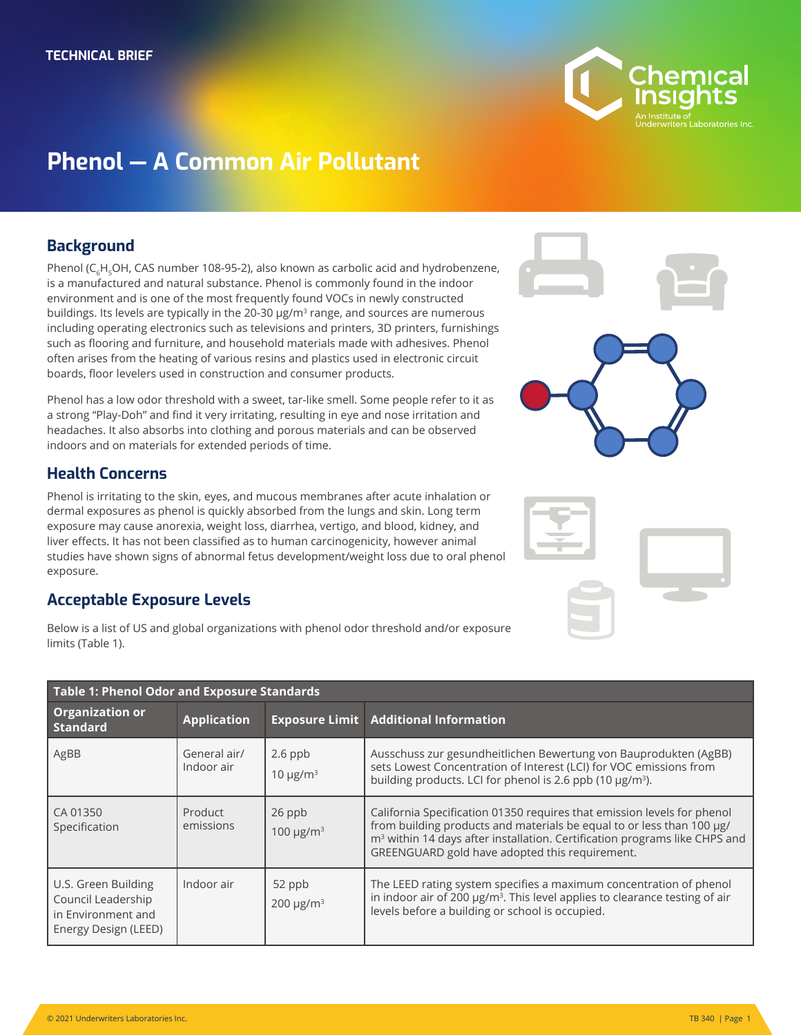

# **Phenol — A Common Air Pollutant**

## **Background**

Phenol ( $C_cH_cOH$ , CAS number 108-95-2), also known as carbolic acid and hydrobenzene, is a manufactured and natural substance. Phenol is commonly found in the indoor environment and is one of the most frequently found VOCs in newly constructed buildings. Its levels are typically in the 20-30  $\mu$ g/m<sup>3</sup> range, and sources are numerous including operating electronics such as televisions and printers, 3D printers, furnishings such as flooring and furniture, and household materials made with adhesives. Phenol often arises from the heating of various resins and plastics used in electronic circuit boards, floor levelers used in construction and consumer products.

Phenol has a low odor threshold with a sweet, tar-like smell. Some people refer to it as a strong "Play-Doh" and find it very irritating, resulting in eye and nose irritation and headaches. It also absorbs into clothing and porous materials and can be observed indoors and on materials for extended periods of time.

# **Health Concerns**

Phenol is irritating to the skin, eyes, and mucous membranes after acute inhalation or dermal exposures as phenol is quickly absorbed from the lungs and skin. Long term exposure may cause anorexia, weight loss, diarrhea, vertigo, and blood, kidney, and liver effects. It has not been classified as to human carcinogenicity, however animal studies have shown signs of abnormal fetus development/weight loss due to oral phenol exposure.

### **Acceptable Exposure Levels**

Below is a list of US and global organizations with phenol odor threshold and/or exposure limits (Table 1).

| <b>Table 1: Phenol Odor and Exposure Standards</b>                                      |                            |                                        |                                                                                                                                                                                                                                                                                              |  |
|-----------------------------------------------------------------------------------------|----------------------------|----------------------------------------|----------------------------------------------------------------------------------------------------------------------------------------------------------------------------------------------------------------------------------------------------------------------------------------------|--|
| <b>Organization or</b><br><b>Standard</b>                                               | <b>Application</b>         |                                        | <b>Exposure Limit Additional Information</b>                                                                                                                                                                                                                                                 |  |
| AgBB                                                                                    | General air/<br>Indoor air | $2.6$ ppb<br>10 $\mu$ g/m <sup>3</sup> | Ausschuss zur gesundheitlichen Bewertung von Bauprodukten (AgBB)<br>sets Lowest Concentration of Interest (LCI) for VOC emissions from<br>building products. LCI for phenol is 2.6 ppb (10 µg/m <sup>3</sup> ).                                                                              |  |
| CA 01350<br>Specification                                                               | Product<br>emissions       | 26 ppb<br>100 $\mu$ g/m <sup>3</sup>   | California Specification 01350 requires that emission levels for phenol<br>from building products and materials be equal to or less than 100 µg/<br>m <sup>3</sup> within 14 days after installation. Certification programs like CHPS and<br>GREENGUARD gold have adopted this requirement. |  |
| U.S. Green Building<br>Council Leadership<br>in Environment and<br>Energy Design (LEED) | Indoor air                 | 52 ppb<br>$200 \mu g/m3$               | The LEED rating system specifies a maximum concentration of phenol<br>in indoor air of 200 µg/m <sup>3</sup> . This level applies to clearance testing of air<br>levels before a building or school is occupied.                                                                             |  |